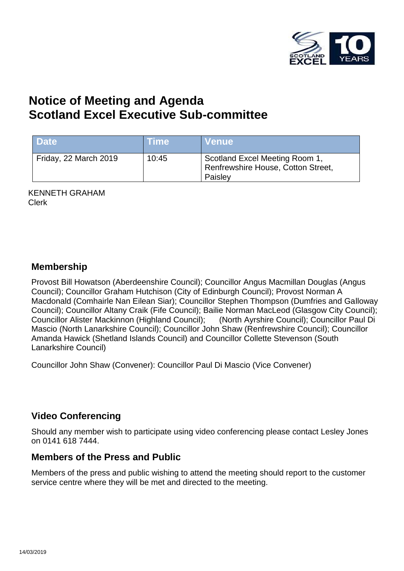

# **Notice of Meeting and Agenda Scotland Excel Executive Sub-committee**

| <b>Date</b>           | <b>Time</b> | <b>Venue</b>                                                                    |
|-----------------------|-------------|---------------------------------------------------------------------------------|
| Friday, 22 March 2019 | 10:45       | Scotland Excel Meeting Room 1,<br>Renfrewshire House, Cotton Street,<br>Paisley |

KENNETH GRAHAM Clerk

#### **Membership**

Provost Bill Howatson (Aberdeenshire Council); Councillor Angus Macmillan Douglas (Angus Council); Councillor Graham Hutchison (City of Edinburgh Council); Provost Norman A Macdonald (Comhairle Nan Eilean Siar); Councillor Stephen Thompson (Dumfries and Galloway Council); Councillor Altany Craik (Fife Council); Bailie Norman MacLeod (Glasgow City Council); Councillor Alister Mackinnon (Highland Council); (North Ayrshire Council); Councillor Paul Di Mascio (North Lanarkshire Council); Councillor John Shaw (Renfrewshire Council); Councillor Amanda Hawick (Shetland Islands Council) and Councillor Collette Stevenson (South Lanarkshire Council)

Councillor John Shaw (Convener): Councillor Paul Di Mascio (Vice Convener)

## **Video Conferencing**

Should any member wish to participate using video conferencing please contact Lesley Jones on 0141 618 7444.

#### **Members of the Press and Public**

Members of the press and public wishing to attend the meeting should report to the customer service centre where they will be met and directed to the meeting.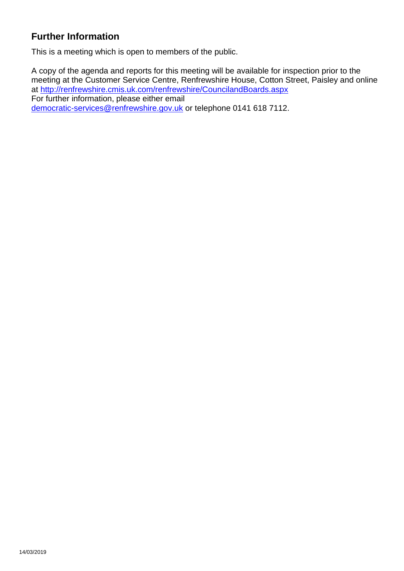# **Further Information**

This is a meeting which is open to members of the public.

A copy of the agenda and reports for this meeting will be available for inspection prior to the meeting at the Customer Service Centre, Renfrewshire House, Cotton Street, Paisley and online at <http://renfrewshire.cmis.uk.com/renfrewshire/CouncilandBoards.aspx> For further information, please either email [democratic-services@renfrewshire.gov.uk](mailto:democratic-services@renfrewshire.gov.uk) or telephone 0141 618 7112.